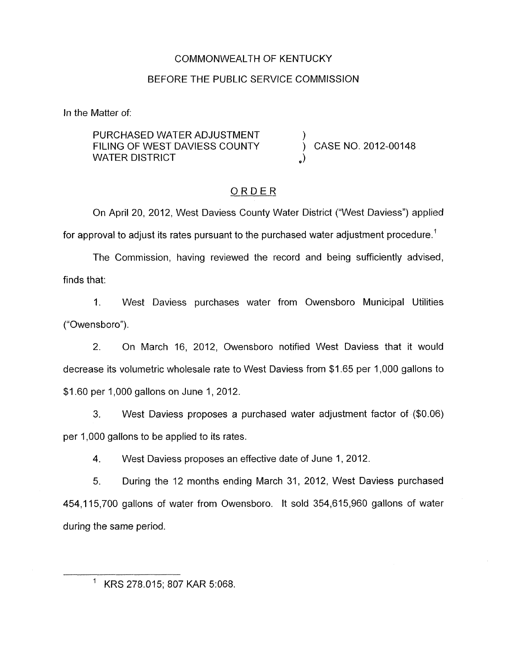### COMMONWEALTH OF KENTUCKY

### BEFORE THE PUBLIC SERVICE COMMISSION

In the Matter of:

PURCHASED WATER ADJUSTMENT FILING OF WEST DAVIESS COUNTY  $\begin{array}{c} \bigcup\limits_{\alpha} \mathsf{P}(\mathsf{M}) \subset \mathsf{M}(\mathsf{M}) \subset \mathsf{M}(\mathsf{M}) \subset \mathsf{M}(\mathsf{M}) \subset \mathsf{M}(\mathsf{M}) \subset \mathsf{M}(\mathsf{M}) \subset \mathsf{M}(\mathsf{M}) \subset \mathsf{M}(\mathsf{M}) \subset \mathsf{M}(\mathsf{M}) \subset \mathsf{M}(\mathsf{M}) \subset \mathsf{M}(\mathsf{M}) \subset \mathsf{M}(\mathsf{M}) \subset \mathsf{M}(\$ 

## ORDER

On April 20, 2012, West Daviess County Water District ("West Daviess") applied for approval to adjust its rates pursuant to the purchased water adjustment procedure.<sup>1</sup>

The Commission, having reviewed the record and being sufficiently advised, finds that:

1. West Daviess purchases water from Owensboro Municipal Utilities ("Owensboro").

2. On March 16, 2012, Owensboro notified West Daviess that it would decrease its volumetric wholesale rate to West Daviess from \$1.65 per 1,000 gallons to \$1.60 per 1,000 gallons on June 1, 2012.

3. West Daviess proposes a purchased water adjustment factor of (\$0.06) per 1,000 gallons to be applied to its rates.

4. West Daviess proposes an effective date of June 1, 2012.

*5.* During the 12 months ending March 31, 2012, West Daviess purchased 454,115,700 gallons of water from Owensboro. It sold 354,615,960 gallons of water during the same period.

KRS 278.015; 807 KAR 5:068.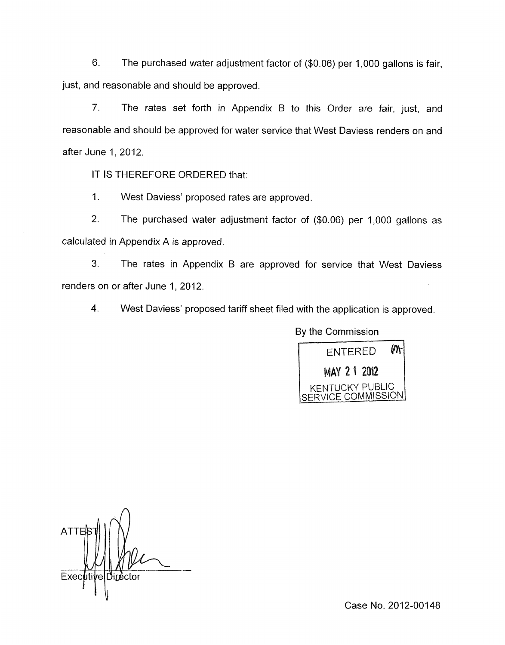6. The purchased water adjustment factor of (\$0.06) per 1,000 gallons is fair, just, and reasonable and should be approved.

7. The rates set forth in Appendix B to this Order are fair, just, and reasonable and should be approved for water service that West Daviess renders on and after June 1, 2012.

IT IS THEREFORE ORDERED that:

1. West Daviess' proposed rates are approved.

2. The purchased water adjustment factor of (\$0.06) per 1,000 gallons as calculated in Appendix A is approved.

**3.** The rates in Appendix B are approved for service that West Daviess renders on or after June 1, 2012.

4. West Daviess' proposed tariff sheet filed with the application is approved.

By the Commission



**ATTI** Executi Diréctor Ιē

Case No. 2012-00148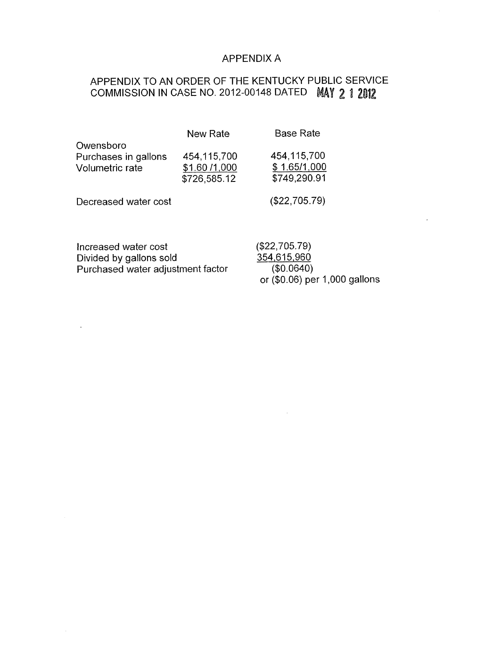### APPENDIX A

# APPENDIX TO AN ORDER OF THE KENTUCKY PUBLIC SERVICE COMMISSION IN CASE NO. 2012-00148 DATED MAY 2 1 2012

|                                                      | <b>New Rate</b>                              | <b>Base Rate</b>                            |
|------------------------------------------------------|----------------------------------------------|---------------------------------------------|
| Owensboro<br>Purchases in gallons<br>Volumetric rate | 454,115,700<br>\$1.60 /1,000<br>\$726,585.12 | 454,115,700<br>\$1.65/1,000<br>\$749,290.91 |
| Decreased water cost                                 |                                              | (\$22,705.79)                               |

Increased water cost Divided by gallons sold Purchased water adjustment factor (\$22,705.79) 354,615,960  $($0.0640)$ or (\$0.06) per 1,000 gallons

 $\mathcal{L}^{\mathcal{L}}$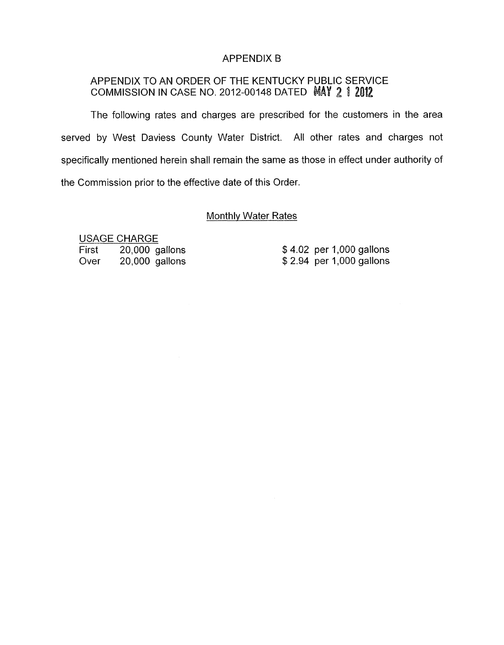### APPENDIX B

## APPENDIX TO AN ORDER OF THE KENTUCKY PUBLIC SERVICE COMMISSION IN CASE NO. 2012-00148 DATED MAY 2 1 2012

The following rates and charges are prescribed for the customers in the area served by West Daviess County Water District. All other rates and charges not specifically mentioned herein shall remain the same as those in effect under authority of the Commission prior to the effective date of this Order.

#### Monthlv Water Rates

USAGE CHARGE First 20,000 gallons Over 20,000 gallons

\$4.02 per 1,000 gallons \$2.94 per 1,000 gallons